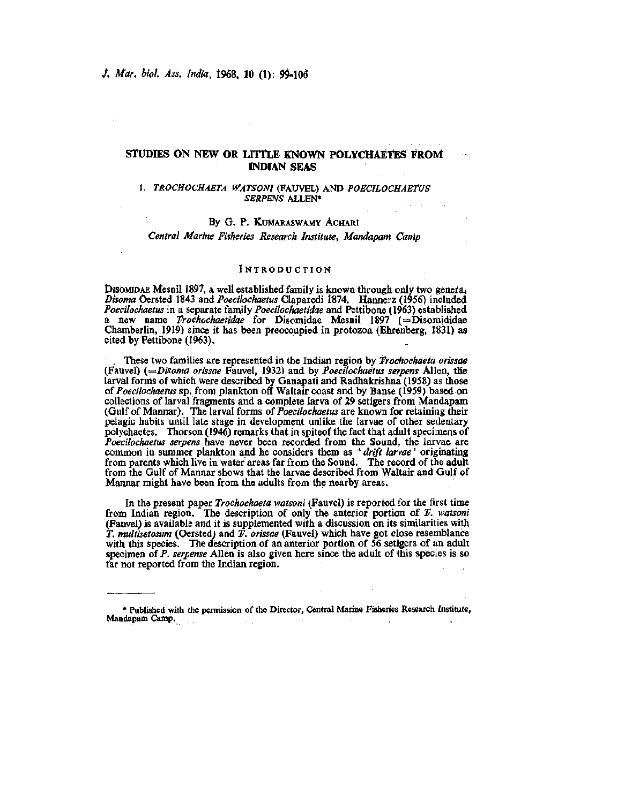# **STUDIES ON** NEW **OR LITTLE KNOWN POLYCHAETES FROM INDUN SEAS**

## 1. *TROCMOCHAETA WATSONI* (FAUVEL) AND *POECILOCHAETUS SERPENS* ALLEN\*

## By G. P. KuMARASWAMY ACHARl

### *Central Marine Fisheries Research Institute, Mandapant Cantp*

### INTRODUCTION

DISOMIDAE Mesnil 1897, a well established family is known through only two genera, *Disoma* Oersted 1843 and *Poecilochaetus* Claparedi 1874. Hannerz (1956) included *Poecilochaetus* in a separate family *Poecilochaetidae* and Pettibone (1963) established a new name *Trochochaetidae* for Disomidae Mesnil 1897 (=Disomididae Chamberlin, 1919) since it has been preoccupied in protozoa (Ehrenberg, 1831) as cited by Pettibone (1963).

. These two families are represented in the Indian region by *trochochaeta orissae*  (Fauvel) *(=Disoma orissae* Fauvel, 1932) and by *Poecilochaetus serpens* Allen, the larval forms of which were described by Ganapati and Radhakrishna (1958) as those *of Poecilochaetus* sp. from plankton off Waltair coast and by Banse (1959) based on collections of larval fragments and a complete larva of 29 setigers from Mandapani (Gulf of Mannar). The larval forms of *Poecilochaetus* are known for retaining their pelagic habits until late stage in development unlike the larvae of other sedentary polychaetes. Thorson (1946) remarks that in spiteof the fact that adult specimens of *Poecilochaetus serpens* have never been recorded from the Sound, the larvae are common in summer plankton and he considers them as ' *drift larvae'* originating from parents which live in water areas far from the Sound. The record of the adult from the Gulf of Mannar shows that the larvae described from Waltair and Gulf of Mannar might have been from the adults from the nearby areas.

In the present paper *Trochochaeta watsoni* (Fauvel) is reported for the first time from Indian region. The description of only the anterior portion of *T. watsoni*  (Fauvel) is available and it is supplemented with a discussion on its similarities with *T. multisetosum* (Oersted) and *T. orissae* (Fauvel) which have got close resemblance with this species. The description of an anterior portion of 56 setigers of an adult specimen of P. *serpense* Allen is also given here since the adult of this species is so far not reported from the Indian region.

\* Published with the permission of the Director, Central Marine Fisheries Research Institute, Mandapam Camp. .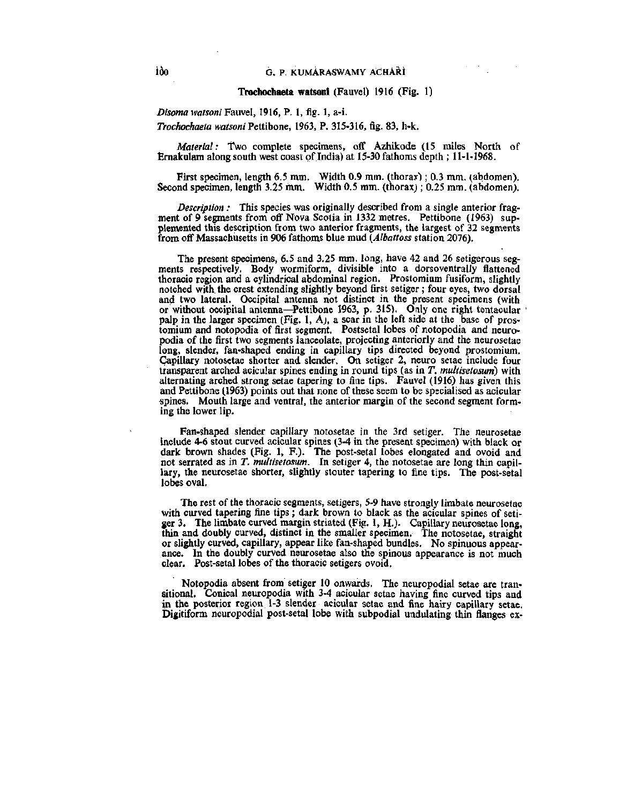**Trochochaeta watsoni** (Fauvel) 1916 (Fig. 1)

Disoma watsoni Fauvel, 1916, P. 1, fig. 1, a-i.

*Trochochaeta watsoni* Pettibone, 1963, P. 315-316, fig. 83, h-k.

*Material:* Two complete specimens, off Azhikode (15 miles North of Brnakulam along south west coast of India) at 15-30 fathoms depth ; 11-1-1968.

First specimen, length 6.5 mm. Width 0.9 mm. (thorax); 0.3 mm. (abdomen). Second specimen, length 3.25 mm. Width 0.5 mm. (thorax); 0.25 mm. (abdomen).

*Description:* This species was originally described from a single anterior fragment of 9 segments from off Nova Scotia in 1332 metres. Pettibone (1963) supplemented this description from two anterior fragments, the largest of 32 segments from off Massachusetts in 906 fathoms blue mud *{Albattoss* station 2076).

The present specimens, 6.5 and 3.25 mm. long, have 42 and 26 setigerous segments respectively. Body wormiform, divisible into a dorsoventrally flattened thoracic region and a cylindrical abdominal region. Prostomium fusiform, slightly notched with the crest extending slightly beyond first setiger; four eyes, two dorsal and two lateral. Occipital antenna not distinct in the present specimens (with or without occipital antenna—Pettibone 1963, p. 315). Oaly one right tentacular palp in the larger specimen (Fig. 1, A), a scar in the left side at the base of prostomium and notopodia of first segment. Postsetal lobes of notopodia and neuropodia of the first two segments lanceolate, projecting anteriorly and the neurosetae long, slender, fan-shaped ending in capillary tips directed beyond prostomium. Capillary notosetae shorter and slender. On setiger 2, neuro setae include four transparent arched acicular spines ending in round tips (as in *T. multisetosum)* with alternating arched strong setae tapering to fine tips. Fauvel (1916) has given this and Pettibone (1963) points out that none of these seem to bs specialised as acicular spines. Mouth large and ventral, the anterior margin of the second segment forming the lower lip.

Fan-shaped slender capillary notosetae in the 3rd setiger. The neurosetae include 4-6 stout curved acicular spines (3-4 in the present specimen) with black or dark brown shades (Fig. 1, F.). The post-setal lobes elongated and ovoid and not serrated as in *T. multisetosum.* In setiger 4, the notosetae are long thin capillary, the neurosetae shorter, slightly stouter tapering to fine tips. The post-setal lobes oval.

The rest of the thoracic segments, setigers, 5-9 have strongly limbate neurosetae with curved tapering fine tips; dark brown to black as the acicular spines of setiger 3. The limbate curved margin striated (Fig. 1, H.). Capillary neurosetae long, thin and doubly curved, distinct in the smaller specimen. The notosetae, straight or slightly curved, capillary, appear like fan-shaped bundles. No spinuous appearance. In the doubly curved neurosetae also the spinous appearance is not much clear, Post-setal lobes of the thoracic setigers ovoid.

Notopodia absent from setiger 10 onwards. The neuropodial setae are transitional. Conical neuropodia with 3-4 acicular setae having fine curved tips and in the posterior region 1-3 slender acicular setae and fine hairy capillary setae. Digitiform neuropodial post-setal lobe with subpodial undulating thin flanges ex-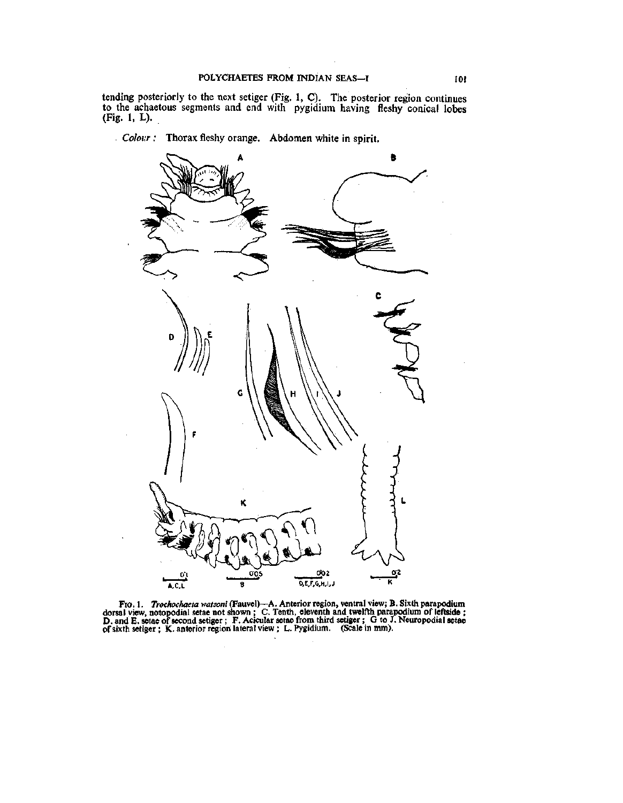tending posteriorly to the next setiger (Fig. 1, C). The posterior region continues to the achaetous segments and end with pygidiura having fleshy conical lobes (Fig. 1, L).



Fro. 1. Trochochaeta watsoni (Fauvel)—A. Anterior region, ventral view; B. Sixth parapodium<br>dorsal view, notopodial setae not shown; C. Tenth, eleventh and twelfth parapodium of leftside;<br>D. and E. setae of second setiger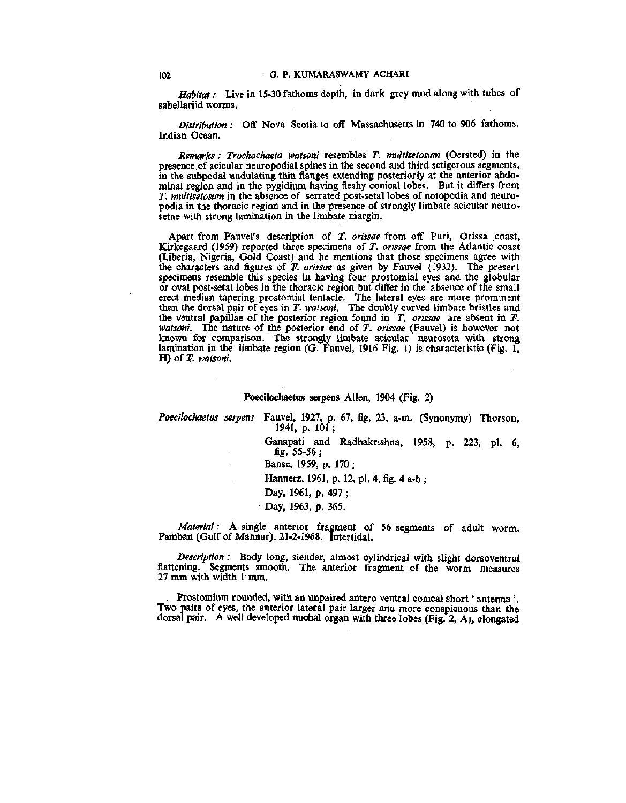*Habitat:* Live in 15-30 fathoms depth, in dark grey mud along with tubes of sabellariid worms.

*Distribution :* Off Nova Scotia to off Massachusetts in 740 to 906 fathoms. Indian Ocean.

*Remarks: Trochochaeta watsoni* resembles *T. multisetosum* (Oersted) in the presence of acicular neuropodial spines in the second and third setigerous segments, in the subpodal undulating thin flanges extending posteriorly at the anterior abdominal region and in the pygidium having fleshy conical lobes. But it differs from *T. multisetosum* in the absence of serrated post-setal lobes of notopodia and neuropodia in the thoracic region and in the presence of strongly limbate acicular neurosetae with strong lamination in the limbate margin.

Apart from Fauvel's description of *T. orissae* from off Puri, Orissa .coast, Kirkegaard (1959) reported three specimens of *T. orissae* from the Atlantic coast (Liberia, Nigeria, Gold Coast) and he mentions that those specimens agree with the characters and figures of. P. *orissae* as given by Fauvel (1932). The present specimens resemble this species in having four prostomial eyes and the globular or oval post-setal lobes in the thoracic region but differ in the absence of the small erect median tapering prostomial tentacle. The lateral eyes are more prominent than the dorsal pair of eyes in *T. watsoni.* The doubly curved limbate bristles and the ventral papillae of the posterior region found in *T. orissae* are absent in *T. watsoni.* The nature of the posterior end of *T. orissae* (Fauvel) is however not known for comparison. The strongly limbate acicular neuroseta with strong lamination in the limbate region (G. Fauvel, 1916 Fig. i) is characteristic (Fig. 1, H) of *T. watsoni.* 

## **Poecilochaetus serpens** Allen, 1904 (Fig. 2)

*Poecilochaetus serpens* Fauvel, 1927, p. 67, fig. 23, a-m. (Synonymy) Thorson, 1941, p. 101;

Ganapati and Radhakrishna, 1958, p. 223, pi. 6, fig.  $55-56$ ;

Banse, 1959, p. 170;

Hannerz, 1961, p. 12, pi. 4, fig. 4 a-b ;

Day, 1961, p. 497 ;

• Day, 1963, p. 365.

*Material:* A single anterior fragment of 56 segments of adult worm. Pamban (Gulf of Mannar). 21-2-1968. Intertidal.

*Description:* Body long, slender, almost cylindrical with slight dorsoventral flattening. Segments smooth. The anterior fragment of the worm measures 27 mm with width 1 mm.

Prostomium rounded, with an unpaired antero ventral conical short' antenna'. Two pairs of eyes, the anterior lateral pair larger and more conspicuous than the dorsal pair. A well developed nuchal organ with three lobes  $(Fig. 2, A)$ , elongated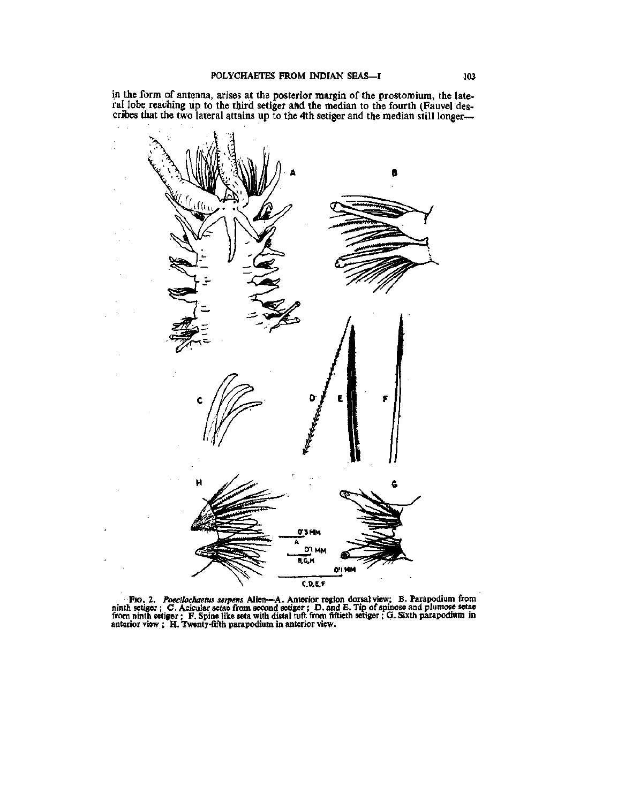in the form of antenna, arises at ths posterior margin of the prostomium, the lateral lobe reaching up to the third setiger and the median to the fourth (Fauvel describes that the two lateral attains up to the 4th setiger and the median still longer—



FIG. 2. Poecilochaetus serpens Allen—A. Anterior region dorsal view; B. Parapodium from ninth setiger; C. Acicular setae from second setiger; D. and E. Tip of spinose and plumose setae from ninth setiger; F. Spine like seta with distal tuft from fiftieth setiger; G. Sixth parapodium in anterior view ; H. Twenty-fifth parapodium in anterior view.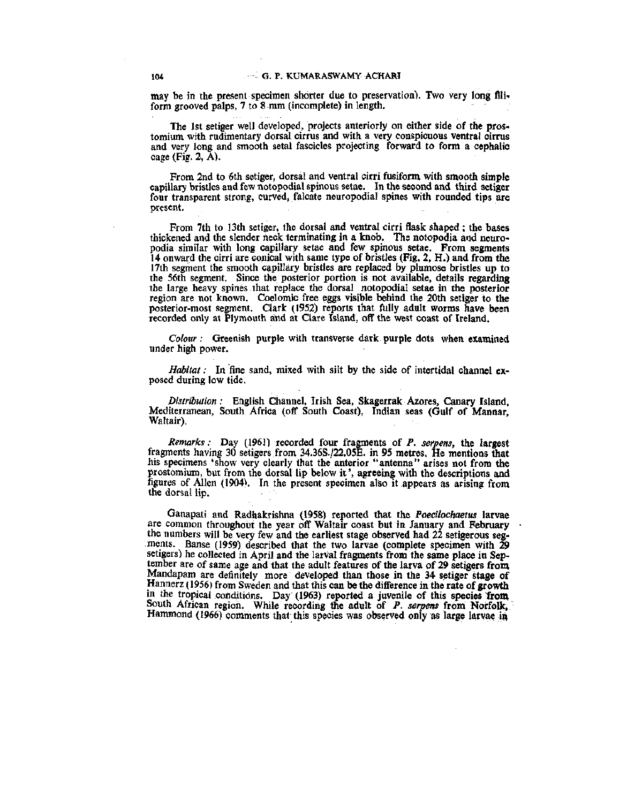may be in the present specimen shorter due to preservation). Two very long filiform grooved palps, 7 to 8 mm (incomplete) in length.

The 1st setiger well developed, projects anteriorly on either side of the prostomium with rudimentary dorsal cirrus and with a very conspicuous ventral cirrus and very long and smooth setal fascicles projecting forward to form a cephalic cage (Fig. 2, A).

From 2nd to 6th setiger, dorsal and ventral cirri fusiform with smooth simple capillary bristles and few notopodial spinous setae. In the second and third setiger four transparent strong, curved, falcate neuropodial spines with rounded tips are present.

From 7th to 13th setiger, the dorsal and ventral cirri flask shaped ; the bases thickened and the slender neck terminating in a knob. The notopodia and neuropodia similar with long capillary setae and few spinous setae. From segments 14 onward the cirri are conical with same type of bristles (Fig. 2, H.) and from the I7th segment the smooth capillary bristles are replaced by plumose bristles up to the 56th segment. Since the posterior portion is not available, details regarding the large heavy spines that replace the dorsal notopodial setae in the posterior region are not known. Coelomic free eggs visible behind the 20th setiger to the posterior-most segment. Clark (1952) reports that fully adult worms have been recorded only at Plymouth and at Clare Island, off the west coast of Ireland,

*Colour:* Greenish purple with transverse dark purple dots when examined under high power.

*Habitat:* In fine sand, mixed with silt by the side of intertidal channel exposed during low tide.

*Distribution:* English Channel, Irish Sea, Skagerrak Azores, Canary Island, Mediterranean, South Africa (off South Coast), Indian seas (Gulf of Mannar, Waltair).

*Remarks:* Day (1961) recorded four fragments of *P. serpens,* the largest fragments having 30 setigers from 34.36S./22,05E, in 95 metres. He mentions that his specimens 'show very clearly that the anterior "antenna" arises not from the prostomium, but from the dorsal lip below it', agreeing with the descriptions and figures of Allen  $(1904)$ . In the present specimen also it appears as arising from the dorsal lip.

Ganapati and Radhakrishna (1958) reported that the *Poecilochaetus* larvae are common throughout the year off Waltair coast but in January and February the numbers will be very few and the earliest stage observed had 22 setigerous segments. Banse (1959) described that the two larvae (complete specimen with 29 setigers) he collected in April and the larval fragments from the same place in September are of same age and that the adult features of the larva of 29 setigers from Mandapam are definitely more developed than those in the 34 setiger stage of Hannerz (1956) from Sweden and that this can be the difference in the rate of growth in the tropical conditions. Day (1963) reported a juvenile of this species **from**  South African region. While recording the adult of *P. serpens* from Norfolk, Hammond (1966) comments that this species was observed only as large larvae in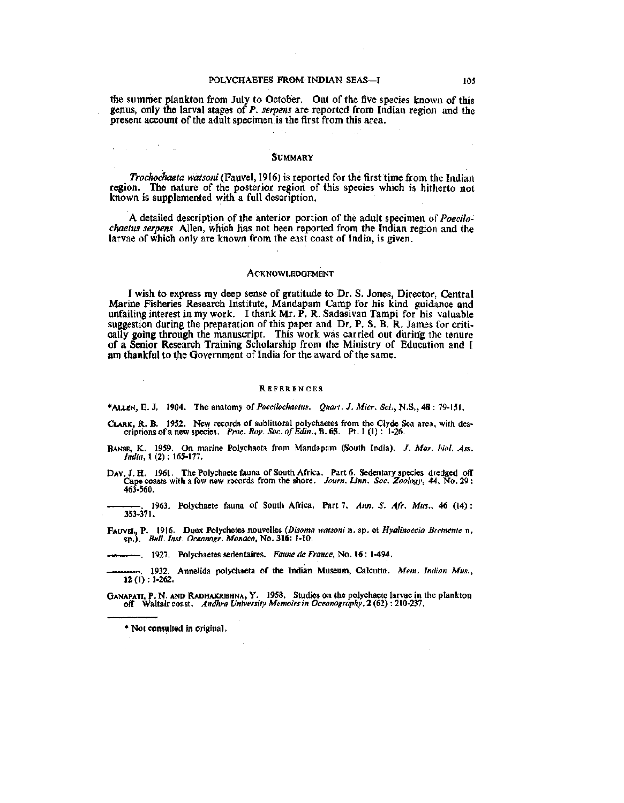the summer plankton from July to October. Out of the five species known of this genus, only the larval stages of *P. serpens* are reported frotii Indian region and the present account of the adult specimen is the first from this area.

## **SUMMARY**

*Trochochaeta watsoni* (Fauvel, 1916) is reported for the first time from the Indian region. The nature of the posterior region of this species which is hitherto not known is supplemented with a full description. known is supplemented with a full description.

A detailed description of the anterior portion of the adult specimen of *Poecilochaetus serpens* Allen, which has not been reported from the Indian region and the larvae of which only are known from the east coast of India, is given.

#### ACKNOWLEDGEMENT

I wish to express my deep sense of gratitude to Dr. S. Jones, Director, Central Marine Fisheries Research Institute, Mandapam Camp for his kind guidance and unfailing interest in my work. I thank Mr. P, R. Sadasivan Tampi for his valuable suggestion during the preparation of this paper and Dr. P. S. B. R. James for critically going through the manuscript. This work was carried out during the tenure of a Senior Research Training Scholarship from the Ministry of Education and [ am thankful to the Government of India for the award of the same.

#### **REFERENCES**

\*ALLEN, E. J. 1904. The anatomy of *Poecilochaelus. Quart. J. Micr. Sci.*, N.S., 48: 79-151.

- CLARK, R. B. 1952. New records of sublittoral polychaetes from the Clyde Sea area, with descriptions of a new species. *Proc. Roy. Soc. of Edin.*, B. 65. Pt. 1 (1): 1-26.
- BANSE, K. 1959. On marine Polychaeta from Mandapam (South India). J. Mar. hiol. Ass. *India,* 1 (2): 165-177.
- DAY, J. H. 1961. The Polychaete fauna of South Africa. Part 6. Sedentary species dredged off Cape coasts with a few new records from the shore. *Journ. Linn. Soc. Zoology,* 44, No. 29 : 463-560.

1963. Polychaete fauna of South Africa. Part 7. *Ann. S. Afr. Mus.,* 46 (14): 353-371.

FAUVEL, P. 1916. Duex Polychetes nouvelles *{Disoma watsoni* n. sp. et *Hyalinoecia Bremente* n. sp.). *Bull. Inst. Oceanogr. Monaco,* No. 316: l-IO.

-\*« . 1927. Polychaetes sedentaires. *Faune de France,'No. 16: 1-494.* 

- . 1932. Annelida polychaeta of the Indian Museum, Calcutta. *Mem. Indian Mus.,*  12 (1) : 1-262.
- GANAPATI, P. N. AND RADHAKRISHNA, Y. 1958. Studies on the polychaete larvae in the plankton off Waltair coast. *Andhra University Memoirs in Oceanography, 2* (62) : 210-237,

Not consylted in original,

 $\sim 10^{-10}$